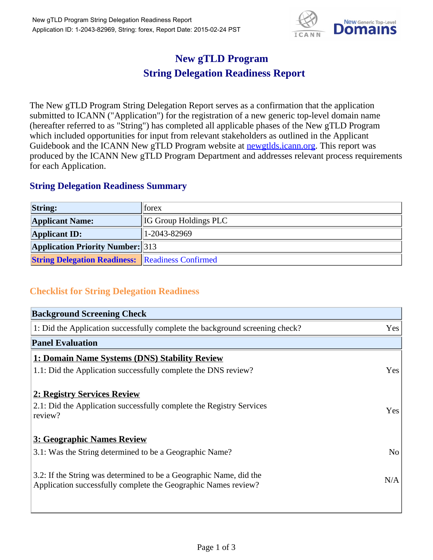

## **New gTLD Program String Delegation Readiness Report**

The New gTLD Program String Delegation Report serves as a confirmation that the application submitted to ICANN ("Application") for the registration of a new generic top-level domain name (hereafter referred to as "String") has completed all applicable phases of the New gTLD Program which included opportunities for input from relevant stakeholders as outlined in the Applicant Guidebook and the ICANN New gTLD Program website at newgtlds.icann.org. This report was produced by the ICANN New gTLD Program Department and addresses relevant process requirements for each Application.

## **String Delegation Readiness Summary**

| <b>String:</b>                                          | <b>Torex</b>                 |
|---------------------------------------------------------|------------------------------|
| <b>Applicant Name:</b>                                  | <b>IG Group Holdings PLC</b> |
| <b>Applicant ID:</b>                                    | $1-2043-82969$               |
| <b>Application Priority Number:</b> 313                 |                              |
| <b>String Delegation Readiness: Readiness Confirmed</b> |                              |

## **Checklist for String Delegation Readiness**

| <b>Background Screening Check</b>                                               |                |  |  |  |
|---------------------------------------------------------------------------------|----------------|--|--|--|
| 1: Did the Application successfully complete the background screening check?    |                |  |  |  |
| <b>Panel Evaluation</b>                                                         |                |  |  |  |
| 1: Domain Name Systems (DNS) Stability Review                                   |                |  |  |  |
| 1.1: Did the Application successfully complete the DNS review?                  | Yes            |  |  |  |
|                                                                                 |                |  |  |  |
| 2: Registry Services Review                                                     |                |  |  |  |
| 2.1: Did the Application successfully complete the Registry Services<br>review? | <b>Yes</b>     |  |  |  |
|                                                                                 |                |  |  |  |
| 3: Geographic Names Review                                                      |                |  |  |  |
| 3.1: Was the String determined to be a Geographic Name?                         | N <sub>o</sub> |  |  |  |
| 3.2: If the String was determined to be a Geographic Name, did the              |                |  |  |  |
| Application successfully complete the Geographic Names review?                  | N/A            |  |  |  |
|                                                                                 |                |  |  |  |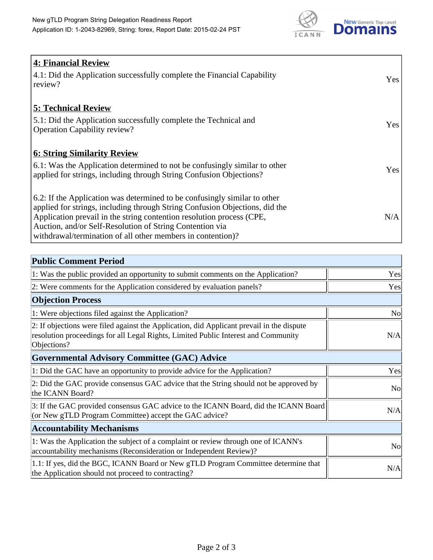

| 4: Financial Review                                                                |            |
|------------------------------------------------------------------------------------|------------|
| $\vert$ 4.1: Did the Application successfully complete the Financial Capability    | Yes        |
| review?                                                                            |            |
| <b>5: Technical Review</b>                                                         |            |
| 5.1: Did the Application successfully complete the Technical and                   | <b>Yes</b> |
| <b>Operation Capability review?</b>                                                |            |
|                                                                                    |            |
| <b>6: String Similarity Review</b>                                                 |            |
| $\vert$ 6.1: Was the Application determined to not be confusingly similar to other | Yes        |
| applied for strings, including through String Confusion Objections?                |            |
| 6.2: If the Application was determined to be confusingly similar to other          |            |
| applied for strings, including through String Confusion Objections, did the        |            |
| Application prevail in the string contention resolution process (CPE,              | N/A        |
| Auction, and/or Self-Resolution of String Contention via                           |            |
| withdrawal/termination of all other members in contention)?                        |            |

| <b>Public Comment Period</b>                                                                                                                                                                   |                |
|------------------------------------------------------------------------------------------------------------------------------------------------------------------------------------------------|----------------|
| 1: Was the public provided an opportunity to submit comments on the Application?                                                                                                               | Yes            |
| 2: Were comments for the Application considered by evaluation panels?                                                                                                                          | Yes            |
| <b>Objection Process</b>                                                                                                                                                                       |                |
| 1: Were objections filed against the Application?                                                                                                                                              | No             |
| 2: If objections were filed against the Application, did Applicant prevail in the dispute<br>resolution proceedings for all Legal Rights, Limited Public Interest and Community<br>Objections? | N/A            |
| <b>Governmental Advisory Committee (GAC) Advice</b>                                                                                                                                            |                |
| 1: Did the GAC have an opportunity to provide advice for the Application?                                                                                                                      | Yes            |
| 2: Did the GAC provide consensus GAC advice that the String should not be approved by<br>the ICANN Board?                                                                                      | N <sub>o</sub> |
| 3: If the GAC provided consensus GAC advice to the ICANN Board, did the ICANN Board<br>(or New gTLD Program Committee) accept the GAC advice?                                                  | N/A            |
| <b>Accountability Mechanisms</b>                                                                                                                                                               |                |
| 1: Was the Application the subject of a complaint or review through one of ICANN's<br>accountability mechanisms (Reconsideration or Independent Review)?                                       | No             |
| 1.1: If yes, did the BGC, ICANN Board or New gTLD Program Committee determine that<br>the Application should not proceed to contracting?                                                       | N/A            |